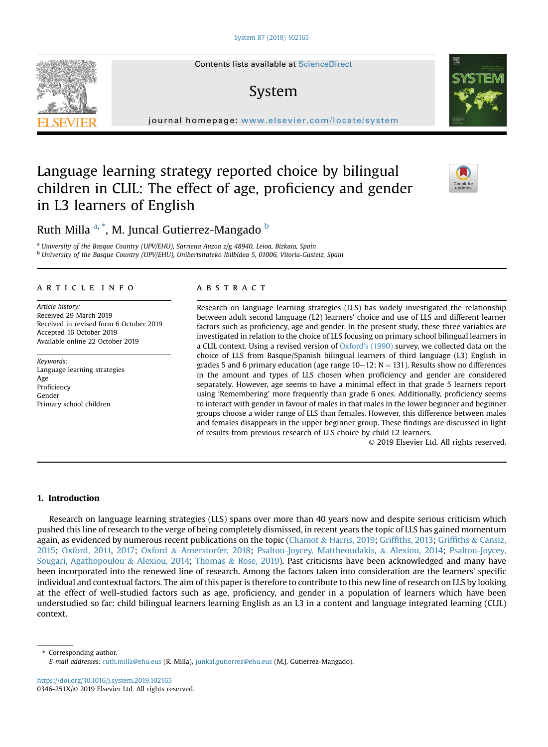# System

journal homepage: [www.elsevier.com/locate/system](http://www.elsevier.com/locate/system)s/locate/systems/locate/systems/locate/systems/locate/systems/

# Language learning strategy reported choice by bilingual children in CLIL: The effect of age, proficiency and gender in L3 learners of English

# Ruth Milla <sup>a, \*</sup>, M. Juncal Gutierrez-Mangado <sup>b</sup>

<sup>a</sup> University of the Basque Country (UPV/EHU), Sarriena Auzoa z/g 48940, Leioa, Bizkaia, Spain <sup>b</sup> University of the Basque Country (UPV/EHU), Unibertsitateko Ibilbidea 5, 01006, Vitoria-Gasteiz, Spain

#### article info

Article history: Received 29 March 2019 Received in revised form 6 October 2019 Accepted 16 October 2019 Available online 22 October 2019

Keywords: Language learning strategies Age Proficiency Gender Primary school children

#### **ABSTRACT**

Research on language learning strategies (LLS) has widely investigated the relationship between adult second language (L2) learners' choice and use of LLS and different learner factors such as proficiency, age and gender. In the present study, these three variables are investigated in relation to the choice of LLS focusing on primary school bilingual learners in a CLIL context. Using a revised version of Oxford'[s \(1990\)](#page-12-0) survey, we collected data on the choice of LLS from Basque/Spanish bilingual learners of third language (L3) English in grades 5 and 6 primary education (age range  $10-12$ ; N = 131). Results show no differences in the amount and types of LLS chosen when proficiency and gender are considered separately. However, age seems to have a minimal effect in that grade 5 learners report using 'Remembering' more frequently than grade 6 ones. Additionally, proficiency seems to interact with gender in favour of males in that males in the lower beginner and beginner groups choose a wider range of LLS than females. However, this difference between males and females disappears in the upper beginner group. These findings are discussed in light of results from previous research of LLS choice by child L2 learners.

© 2019 Elsevier Ltd. All rights reserved.

## 1. Introduction

Research on language learning strategies (LLS) spans over more than 40 years now and despite serious criticism which pushed this line of research to the verge of being completely dismissed, in recent years the topic of LLS has gained momentum again, as evidenced by numerous recent publications on the topic [\(Chamot](#page-11-0) & [Harris, 2019;](#page-11-0) Griffi[ths, 2013;](#page-11-0) [Grif](#page-11-0)fiths & [Cansiz,](#page-11-0) [2015](#page-11-0); [Oxford, 2011,](#page-12-0) [2017;](#page-12-0) [Oxford](#page-12-0) & [Amerstorfer, 2018](#page-12-0); [Psaltou-Joycey, Mattheoudakis,](#page-12-0) & [Alexiou, 2014](#page-12-0); [Psaltou-Joycey,](#page-12-0) [Sougari, Agathopoulou](#page-12-0) & [Alexiou, 2014](#page-12-0); [Thomas](#page-12-0) & [Rose, 2019](#page-12-0)). Past criticisms have been acknowledged and many have been incorporated into the renewed line of research. Among the factors taken into consideration are the learners' specific individual and contextual factors. The aim of this paper is therefore to contribute to this new line of research on LLS by looking at the effect of well-studied factors such as age, proficiency, and gender in a population of learners which have been understudied so far: child bilingual learners learning English as an L3 in a content and language integrated learning (CLIL) context.

<https://doi.org/10.1016/j.system.2019.102165> 0346-251X/© 2019 Elsevier Ltd. All rights reserved.







<sup>\*</sup> Corresponding author. E-mail addresses: [ruth.milla@ehu.eus](mailto:ruth.milla@ehu.eus) (R. Milla), [junkal.gutierrez@ehu.eus](mailto:junkal.gutierrez@ehu.eus) (M.J. Gutierrez-Mangado).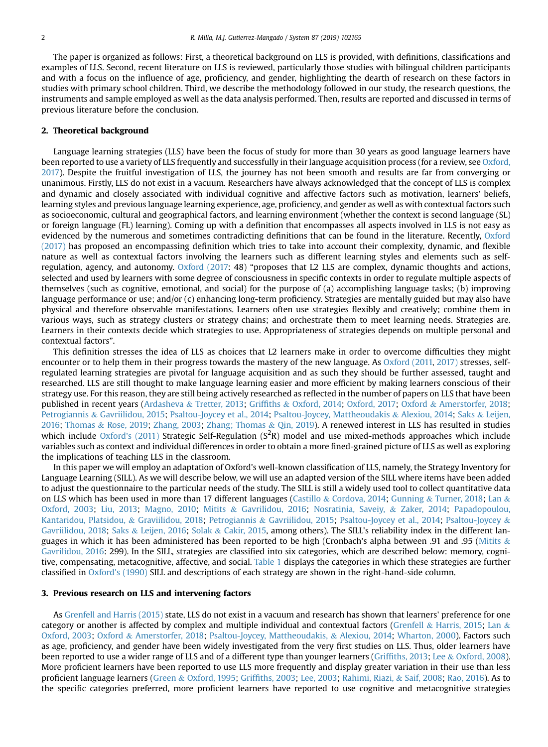The paper is organized as follows: First, a theoretical background on LLS is provided, with definitions, classifications and examples of LLS. Second, recent literature on LLS is reviewed, particularly those studies with bilingual children participants and with a focus on the influence of age, proficiency, and gender, highlighting the dearth of research on these factors in studies with primary school children. Third, we describe the methodology followed in our study, the research questions, the instruments and sample employed as well as the data analysis performed. Then, results are reported and discussed in terms of previous literature before the conclusion.

#### 2. Theoretical background

Language learning strategies (LLS) have been the focus of study for more than 30 years as good language learners have been reported to use a variety of LLS frequently and successfully in their language acquisition process (for a review, see [Oxford,](#page-12-0) [2017](#page-12-0)). Despite the fruitful investigation of LLS, the journey has not been smooth and results are far from converging or unanimous. Firstly, LLS do not exist in a vacuum. Researchers have always acknowledged that the concept of LLS is complex and dynamic and closely associated with individual cognitive and affective factors such as motivation, learners' beliefs, learning styles and previous language learning experience, age, proficiency, and gender as well as with contextual factors such as socioeconomic, cultural and geographical factors, and learning environment (whether the context is second language (SL) or foreign language (FL) learning). Coming up with a definition that encompasses all aspects involved in LLS is not easy as evidenced by the numerous and sometimes contradicting definitions that can be found in the literature. Recently, [Oxford](#page-12-0) [\(2017\)](#page-12-0) has proposed an encompassing definition which tries to take into account their complexity, dynamic, and flexible nature as well as contextual factors involving the learners such as different learning styles and elements such as selfregulation, agency, and autonomy. [Oxford \(2017:](#page-12-0) 48) "proposes that L2 LLS are complex, dynamic thoughts and actions, selected and used by learners with some degree of consciousness in specific contexts in order to regulate multiple aspects of themselves (such as cognitive, emotional, and social) for the purpose of (a) accomplishing language tasks; (b) improving language performance or use; and/or (c) enhancing long-term proficiency. Strategies are mentally guided but may also have physical and therefore observable manifestations. Learners often use strategies flexibly and creatively; combine them in various ways, such as strategy clusters or strategy chains; and orchestrate them to meet learning needs. Strategies are. Learners in their contexts decide which strategies to use. Appropriateness of strategies depends on multiple personal and contextual factors".

This definition stresses the idea of LLS as choices that L2 learners make in order to overcome difficulties they might encounter or to help them in their progress towards the mastery of the new language. As [Oxford \(2011,](#page-12-0) [2017\)](#page-12-0) stresses, selfregulated learning strategies are pivotal for language acquisition and as such they should be further assessed, taught and researched. LLS are still thought to make language learning easier and more efficient by making learners conscious of their strategy use. For this reason, they are still being actively researched as reflected in the number of papers on LLS that have been published in recent years [\(Ardasheva](#page-11-0) & [Tretter, 2013](#page-11-0); [Grif](#page-11-0)fiths & [Oxford, 2014](#page-11-0); [Oxford, 2017](#page-12-0); [Oxford](#page-12-0) & [Amerstorfer, 2018;](#page-12-0) [Petrogiannis](#page-12-0) & [Gavriilidou, 2015;](#page-12-0) [Psaltou-Joycey et al., 2014;](#page-12-0) [Psaltou-Joycey, Mattheoudakis](#page-12-0) & [Alexiou, 2014;](#page-12-0) [Saks](#page-12-0) & [Leijen,](#page-12-0) [2016](#page-12-0); [Thomas](#page-12-0) & [Rose, 2019;](#page-12-0) [Zhang, 2003;](#page-12-0) [Zhang; Thomas](#page-12-0) & [Qin, 2019](#page-12-0)). A renewed interest in LLS has resulted in studies which include  $Oxford's (2011)$  Strategic Self-Regulation  $(S<sup>2</sup>R)$  model and use mixed-methods approaches which include variables such as context and individual differences in order to obtain a more fined-grained picture of LLS as well as exploring the implications of teaching LLS in the classroom.

In this paper we will employ an adaptation of Oxford's well-known classification of LLS, namely, the Strategy Inventory for Language Learning (SILL). As we will describe below, we will use an adapted version of the SILL where items have been added to adjust the questionnaire to the particular needs of the study. The SILL is still a widely used tool to collect quantitative data on LLS which has been used in more than 17 different languages [\(Castillo](#page-11-0) & [Cordova, 2014;](#page-11-0) [Gunning](#page-11-0) & [Turner, 2018](#page-11-0); [Lan](#page-12-0) & [Oxford, 2003;](#page-12-0) [Liu, 2013;](#page-12-0) [Magno, 2010;](#page-12-0) [Mitits](#page-12-0) & [Gavrilidou, 2016](#page-12-0); [Nosratinia, Saveiy,](#page-12-0) & [Zaker, 2014;](#page-12-0) [Papadopoulou,](#page-12-0) [Kantaridou, Platsidou,](#page-12-0) & [Graviilidou, 2018;](#page-12-0) [Petrogiannis](#page-12-0) & [Gavriilidou, 2015](#page-12-0); [Psaltou-Joycey et al., 2014](#page-12-0); [Psaltou-Joycey](#page-12-0) & [Gavriilidou, 2018;](#page-12-0) [Saks](#page-12-0) & [Leijen, 2016](#page-12-0); [Solak](#page-12-0) & [Cakir, 2015,](#page-12-0) among others). The SILL's reliability index in the different languages in which it has been administered has been reported to be high (Cronbach's alpha between .91 and .95 ([Mitits](#page-12-0) & [Gavrilidou, 2016](#page-12-0): 299). In the SILL, strategies are classified into six categories, which are described below: memory, cognitive, compensating, metacognitive, affective, and social. [Table 1](#page-2-0) displays the categories in which these strategies are further classified in [Oxford's \(1990\)](#page-12-0) SILL and descriptions of each strategy are shown in the right-hand-side column.

#### 3. Previous research on LLS and intervening factors

As [Grenfell and Harris \(2015\)](#page-11-0) state, LLS do not exist in a vacuum and research has shown that learners' preference for one category or another is affected by complex and multiple individual and contextual factors ([Grenfell](#page-11-0) & [Harris, 2015](#page-11-0); [Lan](#page-12-0) & [Oxford, 2003;](#page-12-0) [Oxford](#page-12-0) & [Amerstorfer, 2018;](#page-12-0) [Psaltou-Joycey, Mattheoudakis,](#page-12-0) & [Alexiou, 2014](#page-12-0); [Wharton, 2000\)](#page-12-0). Factors such as age, proficiency, and gender have been widely investigated from the very first studies on LLS. Thus, older learners have been reported to use a wider range of LLS and of a different type than younger learners (Griffi[ths, 2013](#page-11-0); [Lee](#page-12-0) & [Oxford, 2008](#page-12-0)). More proficient learners have been reported to use LLS more frequently and display greater variation in their use than less proficient language learners [\(Green](#page-11-0) & [Oxford, 1995](#page-11-0); Griffi[ths, 2003;](#page-11-0) [Lee, 2003](#page-12-0); [Rahimi, Riazi,](#page-12-0) & [Saif, 2008;](#page-12-0) [Rao, 2016](#page-12-0)). As to the specific categories preferred, more proficient learners have reported to use cognitive and metacognitive strategies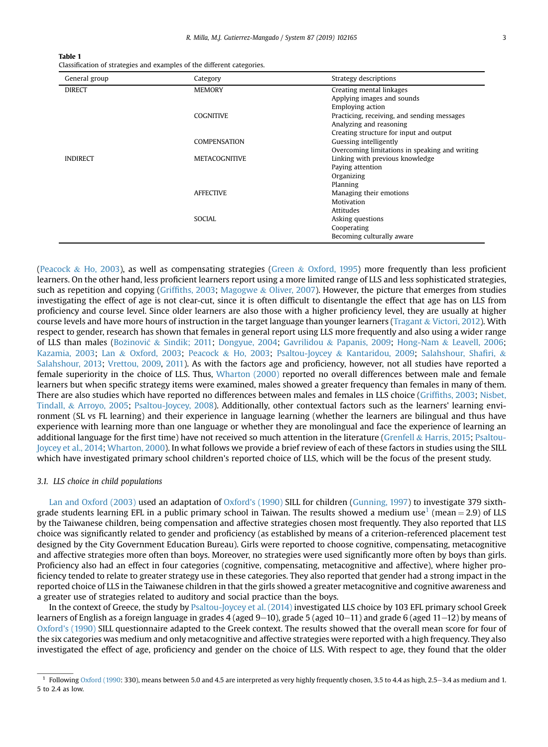<span id="page-2-0"></span>Table 1 Classification of strategies and examples of the different categories.

| General group   | Category             | Strategy descriptions                          |
|-----------------|----------------------|------------------------------------------------|
| <b>DIRECT</b>   | <b>MEMORY</b>        | Creating mental linkages                       |
|                 |                      | Applying images and sounds                     |
|                 |                      | <b>Employing action</b>                        |
|                 | <b>COGNITIVE</b>     | Practicing, receiving, and sending messages    |
|                 |                      | Analyzing and reasoning                        |
|                 |                      | Creating structure for input and output        |
|                 | <b>COMPENSATION</b>  | Guessing intelligently                         |
|                 |                      | Overcoming limitations in speaking and writing |
| <b>INDIRECT</b> | <b>METACOGNITIVE</b> | Linking with previous knowledge                |
|                 |                      | Paying attention                               |
|                 |                      | Organizing                                     |
|                 |                      | Planning                                       |
|                 | <b>AFFECTIVE</b>     | Managing their emotions                        |
|                 |                      | Motivation                                     |
|                 |                      | Attitudes                                      |
|                 | SOCIAL               | Asking questions                               |
|                 |                      | Cooperating                                    |
|                 |                      | Becoming culturally aware                      |

([Peacock](#page-12-0) & [Ho, 2003](#page-12-0)), as well as compensating strategies ([Green](#page-11-0) & [Oxford, 1995](#page-11-0)) more frequently than less proficient learners. On the other hand, less proficient learners report using a more limited range of LLS and less sophisticated strategies, such as repetition and copying (Griffi[ths, 2003;](#page-11-0) [Magogwe](#page-12-0) & [Oliver, 2007](#page-12-0)). However, the picture that emerges from studies investigating the effect of age is not clear-cut, since it is often difficult to disentangle the effect that age has on LLS from proficiency and course level. Since older learners are also those with a higher proficiency level, they are usually at higher course levels and have more hours of instruction in the target language than younger learners [\(Tragant](#page-12-0) & [Victori, 2012](#page-12-0)). With respect to gender, research has shown that females in general report using LLS more frequently and also using a wider range of LLS than males [\(Bo](#page-11-0)z[inovi](#page-11-0)c & [Sindik; 2011;](#page-11-0) [Dongyue, 2004;](#page-11-0) [Gavrilidou](#page-11-0) & [Papanis, 2009](#page-11-0); [Hong-Nam](#page-11-0) & [Leavell, 2006](#page-11-0); [Kazamia, 2003](#page-11-0); [Lan](#page-12-0) & [Oxford, 2003](#page-12-0); [Peacock](#page-12-0) & [Ho, 2003](#page-12-0); [Psaltou-Joycey](#page-12-0) & [Kantaridou, 2009;](#page-12-0) [Salahshour, Sha](#page-12-0)firi, & [Salahshour, 2013](#page-12-0); [Vrettou, 2009,](#page-12-0) [2011\)](#page-12-0). As with the factors age and proficiency, however, not all studies have reported a female superiority in the choice of LLS. Thus, [Wharton \(2000\)](#page-12-0) reported no overall differences between male and female learners but when specific strategy items were examined, males showed a greater frequency than females in many of them. There are also studies which have reported no differences between males and females in LLS choice (Griffi[ths, 2003;](#page-11-0) [Nisbet,](#page-12-0) [Tindall,](#page-12-0) & [Arroyo, 2005;](#page-12-0) [Psaltou-Joycey, 2008](#page-12-0)). Additionally, other contextual factors such as the learners' learning environment (SL vs FL learning) and their experience in language learning (whether the learners are bilingual and thus have experience with learning more than one language or whether they are monolingual and face the experience of learning an additional language for the first time) have not received so much attention in the literature ([Grenfell](#page-11-0) & [Harris, 2015](#page-11-0); [Psaltou-](#page-12-0)[Joycey et al., 2014](#page-12-0); [Wharton, 2000\)](#page-12-0). In what follows we provide a brief review of each of these factors in studies using the SILL which have investigated primary school children's reported choice of LLS, which will be the focus of the present study.

#### 3.1. LLS choice in child populations

[Lan and Oxford \(2003\)](#page-12-0) used an adaptation of [Oxford's \(1990\)](#page-12-0) SILL for children ([Gunning, 1997](#page-11-0)) to investigate 379 sixthgrade students learning EFL in a public primary school in Taiwan. The results showed a medium use<sup>1</sup> (mean = 2.9) of LLS by the Taiwanese children, being compensation and affective strategies chosen most frequently. They also reported that LLS choice was significantly related to gender and proficiency (as established by means of a criterion-referenced placement test designed by the City Government Education Bureau). Girls were reported to choose cognitive, compensating, metacognitive and affective strategies more often than boys. Moreover, no strategies were used significantly more often by boys than girls. Proficiency also had an effect in four categories (cognitive, compensating, metacognitive and affective), where higher proficiency tended to relate to greater strategy use in these categories. They also reported that gender had a strong impact in the reported choice of LLS in the Taiwanese children in that the girls showed a greater metacognitive and cognitive awareness and a greater use of strategies related to auditory and social practice than the boys.

In the context of Greece, the study by [Psaltou-Joycey et al. \(2014\)](#page-12-0) investigated LLS choice by 103 EFL primary school Greek learners of English as a foreign language in grades 4 (aged  $9-10$ ), grade 5 (aged  $10-11$ ) and grade 6 (aged  $11-12$ ) by means of [Oxford's \(1990\)](#page-12-0) SILL questionnaire adapted to the Greek context. The results showed that the overall mean score for four of the six categories was medium and only metacognitive and affective strategies were reported with a high frequency. They also investigated the effect of age, proficiency and gender on the choice of LLS. With respect to age, they found that the older

 $1$  Following [Oxford \(1990:](#page-12-0) 330), means between 5.0 and 4.5 are interpreted as very highly frequently chosen, 3.5 to 4.4 as high, 2.5–3.4 as medium and 1. 5 to 2.4 as low.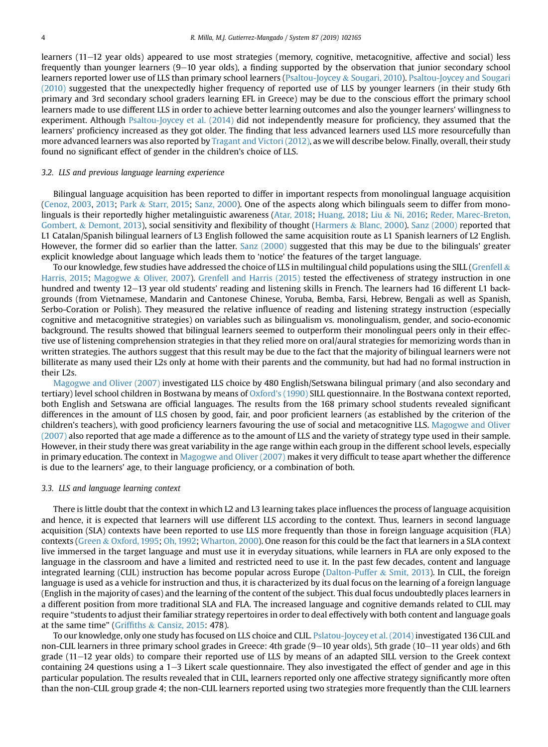learners (11–12 year olds) appeared to use most strategies (memory, cognitive, metacognitive, affective and social) less frequently than younger learners  $(9-10$  year olds), a finding supported by the observation that junior secondary school learners reported lower use of LLS than primary school learners ([Psaltou-Joycey](#page-12-0) & [Sougari, 2010](#page-12-0)). [Psaltou-Joycey and Sougari](#page-12-0) [\(2010\)](#page-12-0) suggested that the unexpectedly higher frequency of reported use of LLS by younger learners (in their study 6th primary and 3rd secondary school graders learning EFL in Greece) may be due to the conscious effort the primary school learners made to use different LLS in order to achieve better learning outcomes and also the younger learners' willingness to experiment. Although [Psaltou-Joycey et al. \(2014\)](#page-12-0) did not independently measure for proficiency, they assumed that the learners' proficiency increased as they got older. The finding that less advanced learners used LLS more resourcefully than more advanced learners was also reported by [Tragant and Victori \(2012\),](#page-12-0) as we will describe below. Finally, overall, their study found no significant effect of gender in the children's choice of LLS.

#### 3.2. LLS and previous language learning experience

Bilingual language acquisition has been reported to differ in important respects from monolingual language acquisition [\(Cenoz, 2003,](#page-11-0) [2013;](#page-11-0) [Park](#page-12-0) & [Starr, 2015](#page-12-0); [Sanz, 2000](#page-12-0)). One of the aspects along which bilinguals seem to differ from monolinguals is their reportedly higher metalinguistic awareness ([Atar, 2018;](#page-11-0) [Huang, 2018](#page-11-0); [Liu](#page-12-0) & [Ni, 2016](#page-12-0); [Reder, Marec-Breton,](#page-12-0) [Gombert,](#page-12-0) & [Demont, 2013\)](#page-12-0), social sensitivity and flexibility of thought [\(Harmers](#page-11-0) & [Blanc, 2000](#page-11-0)). [Sanz \(2000\)](#page-12-0) reported that L1 Catalan/Spanish bilingual learners of L3 English followed the same acquisition route as L1 Spanish learners of L2 English. However, the former did so earlier than the latter. [Sanz \(2000\)](#page-12-0) suggested that this may be due to the bilinguals' greater explicit knowledge about language which leads them to 'notice' the features of the target language.

To our knowledge, few studies have addressed the choice of LLS in multilingual child populations using the SILL [\(Grenfell](#page-11-0)  $\&$ [Harris, 2015](#page-11-0); [Magogwe](#page-12-0) & [Oliver, 2007](#page-12-0)). [Grenfell and Harris \(2015\)](#page-11-0) tested the effectiveness of strategy instruction in one hundred and twenty 12–13 year old students' reading and listening skills in French. The learners had 16 different L1 backgrounds (from Vietnamese, Mandarin and Cantonese Chinese, Yoruba, Bemba, Farsi, Hebrew, Bengali as well as Spanish, Serbo-Coration or Polish). They measured the relative influence of reading and listening strategy instruction (especially cognitive and metacognitive strategies) on variables such as bilingualism vs. monolingualism, gender, and socio-economic background. The results showed that bilingual learners seemed to outperform their monolingual peers only in their effective use of listening comprehension strategies in that they relied more on oral/aural strategies for memorizing words than in written strategies. The authors suggest that this result may be due to the fact that the majority of bilingual learners were not billiterate as many used their L2s only at home with their parents and the community, but had had no formal instruction in their L2s.

[Magogwe and Oliver \(2007\)](#page-12-0) investigated LLS choice by 480 English/Setswana bilingual primary (and also secondary and tertiary) level school children in Bostwana by means of [Oxford's \(1990\)](#page-12-0) SILL questionnaire. In the Bostwana context reported, both English and Setswana are official languages. The results from the 168 primary school students revealed significant differences in the amount of LLS chosen by good, fair, and poor proficient learners (as established by the criterion of the children's teachers), with good proficiency learners favouring the use of social and metacognitive LLS. [Magogwe and Oliver](#page-12-0) [\(2007\)](#page-12-0) also reported that age made a difference as to the amount of LLS and the variety of strategy type used in their sample. However, in their study there was great variability in the age range within each group in the different school levels, especially in primary education. The context in [Magogwe and Oliver \(2007\)](#page-12-0) makes it very difficult to tease apart whether the difference is due to the learners' age, to their language proficiency, or a combination of both.

#### 3.3. LLS and language learning context

There is little doubt that the context in which L2 and L3 learning takes place influences the process of language acquisition and hence, it is expected that learners will use different LLS according to the context. Thus, learners in second language acquisition (SLA) contexts have been reported to use LLS more frequently than those in foreign language acquisition (FLA) contexts ([Green](#page-11-0) & [Oxford, 1995;](#page-11-0) [Oh, 1992](#page-12-0); [Wharton, 2000\)](#page-12-0). One reason for this could be the fact that learners in a SLA context live immersed in the target language and must use it in everyday situations, while learners in FLA are only exposed to the language in the classroom and have a limited and restricted need to use it. In the past few decades, content and language integrated learning (CLIL) instruction has become popular across Europe ([Dalton-Puffer](#page-11-0)  $&$  [Smit, 2013](#page-11-0)). In CLIL, the foreign language is used as a vehicle for instruction and thus, it is characterized by its dual focus on the learning of a foreign language (English in the majority of cases) and the learning of the content of the subject. This dual focus undoubtedly places learners in a different position from more traditional SLA and FLA. The increased language and cognitive demands related to CLIL may require "students to adjust their familiar strategy repertoires in order to deal effectively with both content and language goals at the same time" [\(Grif](#page-11-0)fiths & [Cansiz, 2015](#page-11-0): 478).

To our knowledge, only one study has focused on LLS choice and CLIL. [Pslatou-Joycey et al. \(2014\)](#page-12-0) investigated 136 CLIL and non-CLIL learners in three primary school grades in Greece: 4th grade  $(9-10$  year olds), 5th grade  $(10-11$  year olds) and 6th grade (11–12 year olds) to compare their reported use of LLS by means of an adapted SILL version to the Greek context containing 24 questions using a  $1-3$  Likert scale questionnaire. They also investigated the effect of gender and age in this particular population. The results revealed that in CLIL, learners reported only one affective strategy significantly more often than the non-CLIL group grade 4; the non-CLIL learners reported using two strategies more frequently than the CLIL learners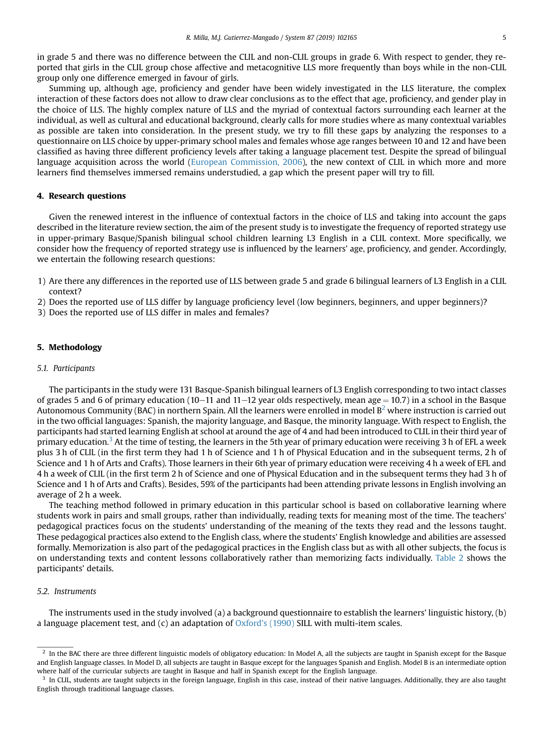in grade 5 and there was no difference between the CLIL and non-CLIL groups in grade 6. With respect to gender, they reported that girls in the CLIL group chose affective and metacognitive LLS more frequently than boys while in the non-CLIL group only one difference emerged in favour of girls.

Summing up, although age, proficiency and gender have been widely investigated in the LLS literature, the complex interaction of these factors does not allow to draw clear conclusions as to the effect that age, proficiency, and gender play in the choice of LLS. The highly complex nature of LLS and the myriad of contextual factors surrounding each learner at the individual, as well as cultural and educational background, clearly calls for more studies where as many contextual variables as possible are taken into consideration. In the present study, we try to fill these gaps by analyzing the responses to a questionnaire on LLS choice by upper-primary school males and females whose age ranges between 10 and 12 and have been classified as having three different proficiency levels after taking a language placement test. Despite the spread of bilingual language acquisition across the world ([European Commission, 2006](#page-11-0)), the new context of CLIL in which more and more learners find themselves immersed remains understudied, a gap which the present paper will try to fill.

#### 4. Research questions

Given the renewed interest in the influence of contextual factors in the choice of LLS and taking into account the gaps described in the literature review section, the aim of the present study is to investigate the frequency of reported strategy use in upper-primary Basque/Spanish bilingual school children learning L3 English in a CLIL context. More specifically, we consider how the frequency of reported strategy use is influenced by the learners' age, proficiency, and gender. Accordingly, we entertain the following research questions:

- 1) Are there any differences in the reported use of LLS between grade 5 and grade 6 bilingual learners of L3 English in a CLIL context?
- 2) Does the reported use of LLS differ by language proficiency level (low beginners, beginners, and upper beginners)?
- 3) Does the reported use of LLS differ in males and females?

## 5. Methodology

#### 5.1. Participants

The participants in the study were 131 Basque-Spanish bilingual learners of L3 English corresponding to two intact classes of grades 5 and 6 of primary education (10–11 and 11–12 year olds respectively, mean age = 10.7) in a school in the Basque Autonomous Community (BAC) in northern Spain. All the learners were enrolled in model  $B^2$  where instruction is carried out in the two official languages: Spanish, the majority language, and Basque, the minority language. With respect to English, the participants had started learning English at school at around the age of 4 and had been introduced to CLIL in their third year of primary education.<sup>3</sup> At the time of testing, the learners in the 5th year of primary education were receiving 3 h of EFL a week plus 3 h of CLIL (in the first term they had 1 h of Science and 1 h of Physical Education and in the subsequent terms, 2 h of Science and 1 h of Arts and Crafts). Those learners in their 6th year of primary education were receiving 4 h a week of EFL and 4 h a week of CLIL (in the first term 2 h of Science and one of Physical Education and in the subsequent terms they had 3 h of Science and 1 h of Arts and Crafts). Besides, 59% of the participants had been attending private lessons in English involving an average of 2 h a week.

The teaching method followed in primary education in this particular school is based on collaborative learning where students work in pairs and small groups, rather than individually, reading texts for meaning most of the time. The teachers' pedagogical practices focus on the students' understanding of the meaning of the texts they read and the lessons taught. These pedagogical practices also extend to the English class, where the students' English knowledge and abilities are assessed formally. Memorization is also part of the pedagogical practices in the English class but as with all other subjects, the focus is on understanding texts and content lessons collaboratively rather than memorizing facts individually. [Table 2](#page-5-0) shows the participants' details.

#### 5.2. Instruments

The instruments used in the study involved (a) a background questionnaire to establish the learners' linguistic history, (b) a language placement test, and (c) an adaptation of [Oxford's \(1990\)](#page-12-0) SILL with multi-item scales.

 $<sup>2</sup>$  In the BAC there are three different linguistic models of obligatory education: In Model A, all the subjects are taught in Spanish except for the Basque</sup> and English language classes. In Model D, all subjects are taught in Basque except for the languages Spanish and English. Model B is an intermediate option where half of the curricular subjects are taught in Basque and half in Spanish except for the English language.

<sup>&</sup>lt;sup>3</sup> In CLIL, students are taught subjects in the foreign language, English in this case, instead of their native languages. Additionally, they are also taught English through traditional language classes.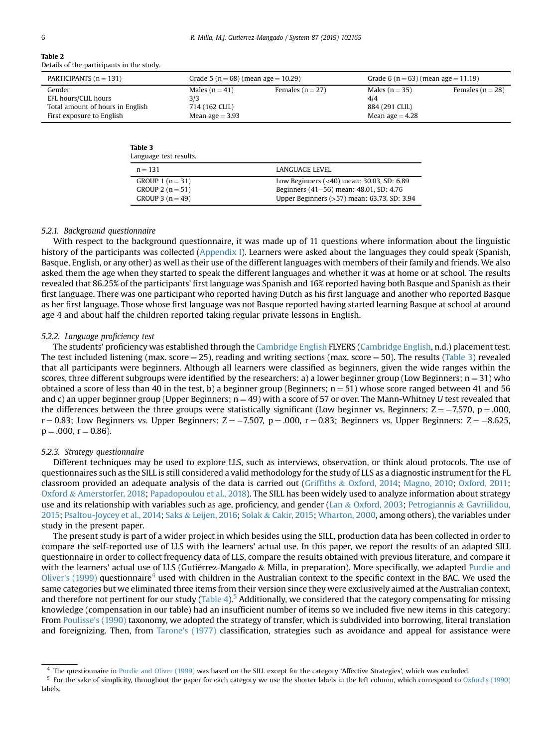<span id="page-5-0"></span>

| ٦ |  |
|---|--|
|   |  |
|   |  |
|   |  |
|   |  |

Table 2

| --------                                  |  |  |
|-------------------------------------------|--|--|
| Details of the participants in the study. |  |  |

| PARTICIPANTS $(n = 131)$         | Grade 5 ( $n = 68$ ) (mean age $= 10.29$ ) |                      | Grade 6 ( $n = 63$ ) (mean age $= 11.19$ ) |                    |
|----------------------------------|--------------------------------------------|----------------------|--------------------------------------------|--------------------|
| Gender                           | Males $(n=41)$                             | Females ( $n = 27$ ) | Males $(n=35)$                             | Females $(n = 28)$ |
| EFL hours/CLIL hours             | 3/3                                        |                      | 4/4                                        |                    |
| Total amount of hours in English | 714 (162 CLIL)                             |                      | 884 (291 CLIL)                             |                    |
| First exposure to English        | Mean age $=$ 3.93                          |                      | Mean age $=$ 4.28                          |                    |

#### Table 3

| Language test results. |                                             |
|------------------------|---------------------------------------------|
| $n = 131$              | LANGUAGE LEVEL                              |
| GROUP 1 $(n = 31)$     | Low Beginners $(40) mean: 30.03, SD: 6.89$  |
| GROUP 2 $(n = 51)$     | Beginners (41–56) mean: 48.01, SD: 4.76     |
| GROUP 3 $(n = 49)$     | Upper Beginners (>57) mean: 63.73, SD: 3.94 |

#### 5.2.1. Background questionnaire

With respect to the background questionnaire, it was made up of 11 questions where information about the linguistic history of the participants was collected (Appendix I). Learners were asked about the languages they could speak (Spanish, Basque, English, or any other) as well as their use of the different languages with members of their family and friends. We also asked them the age when they started to speak the different languages and whether it was at home or at school. The results revealed that 86.25% of the participants' first language was Spanish and 16% reported having both Basque and Spanish as their first language. There was one participant who reported having Dutch as his first language and another who reported Basque as her first language. Those whose first language was not Basque reported having started learning Basque at school at around age 4 and about half the children reported taking regular private lessons in English.

#### 5.2.2. Language proficiency test

The students' proficiency was established through the [Cambridge English](#page-11-0) FLYERS [\(Cambridge English](#page-11-0), n.d.) placement test. The test included listening (max. score  $=$  25), reading and writing sections (max. score  $=$  50). The results (Table 3) revealed that all participants were beginners. Although all learners were classified as beginners, given the wide ranges within the scores, three different subgroups were identified by the researchers: a) a lower beginner group (Low Beginners;  $n = 31$ ) who obtained a score of less than 40 in the test, b) a beginner group (Beginners;  $n = 51$ ) whose score ranged between 41 and 56 and c) an upper beginner group (Upper Beginners;  $n = 49$ ) with a score of 57 or over. The Mann-Whitney U test revealed that the differences between the three groups were statistically significant (Low beginner vs. Beginners:  $Z = -7.570$ ,  $p = .000$ ,  $r = 0.83$ ; Low Beginners vs. Upper Beginners:  $Z = -7.507$ ,  $p = .000$ ,  $r = 0.83$ ; Beginners vs. Upper Beginners:  $Z = -8.625$  $p = .000$ ,  $r = 0.86$ ).

#### 5.2.3. Strategy questionnaire

Different techniques may be used to explore LLS, such as interviews, observation, or think aloud protocols. The use of questionnaires such as the SILL is still considered a valid methodology for the study of LLS as a diagnostic instrument for the FL classroom provided an adequate analysis of the data is carried out [\(Grif](#page-11-0)fiths & [Oxford, 2014](#page-11-0); [Magno, 2010](#page-12-0); [Oxford, 2011;](#page-12-0) [Oxford](#page-12-0) & [Amerstorfer, 2018](#page-12-0); [Papadopoulou et al., 2018\)](#page-12-0). The SILL has been widely used to analyze information about strategy use and its relationship with variables such as age, proficiency, and gender [\(Lan](#page-12-0) & [Oxford, 2003;](#page-12-0) [Petrogiannis](#page-12-0) & [Gavriilidou,](#page-12-0) [2015](#page-12-0); [Psaltou-Joycey et al., 2014;](#page-12-0) [Saks](#page-12-0) & [Leijen, 2016;](#page-12-0) [Solak](#page-12-0) & [Cakir, 2015;](#page-12-0) [Wharton, 2000](#page-12-0), among others), the variables under study in the present paper.

The present study is part of a wider project in which besides using the SILL, production data has been collected in order to compare the self-reported use of LLS with the learners' actual use. In this paper, we report the results of an adapted SILL questionnaire in order to collect frequency data of LLS, compare the results obtained with previous literature, and compare it with the learners' actual use of LLS (Gutiérrez-Mangado  $\&$  Milla, in preparation). More specifically, we adapted [Purdie and](#page-12-0) [Oliver's \(1999\)](#page-12-0) questionnaire<sup>4</sup> used with children in the Australian context to the specific context in the BAC. We used the same categories but we eliminated three items from their version since they were exclusively aimed at the Australian context, and therefore not pertinent for our study [\(Table 4\)](#page-6-0).<sup>5</sup> Additionally, we considered that the category compensating for missing knowledge (compensation in our table) had an insufficient number of items so we included five new items in this category: From [Poulisse's \(1990\)](#page-12-0) taxonomy, we adopted the strategy of transfer, which is subdivided into borrowing, literal translation and foreignizing. Then, from [Tarone's \(1977\)](#page-12-0) classification, strategies such as avoidance and appeal for assistance were

<sup>4</sup> The questionnaire in [Purdie and Oliver \(1999\)](#page-12-0) was based on the SILL except for the category 'Affective Strategies', which was excluded.

<sup>&</sup>lt;sup>5</sup> For the sake of simplicity, throughout the paper for each category we use the shorter labels in the left column, which correspond to [Oxford's \(1990\)](#page-12-0) labels.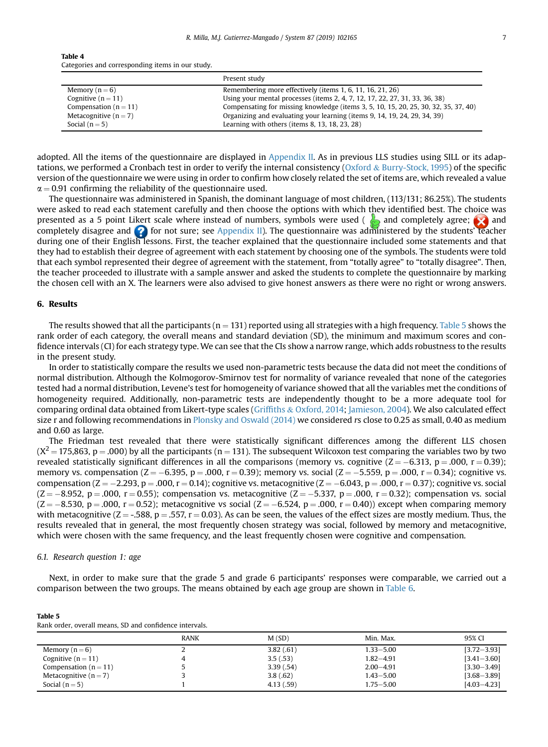<span id="page-6-0"></span>

| Table 4                                          |  |
|--------------------------------------------------|--|
| Categories and corresponding items in our study. |  |

|                         | Present study                                                                       |
|-------------------------|-------------------------------------------------------------------------------------|
| Memory $(n=6)$          | Remembering more effectively (items 1, 6, 11, 16, 21, 26)                           |
| Cognitive $(n = 11)$    | Using your mental processes (items 2, 4, 7, 12, 17, 22, 27, 31, 33, 36, 38)         |
| Compensation $(n = 11)$ | Compensating for missing knowledge (items 3, 5, 10, 15, 20, 25, 30, 32, 35, 37, 40) |
| Metacognitive $(n=7)$   | Organizing and evaluating your learning (items 9, 14, 19, 24, 29, 34, 39)           |
| Social $(n=5)$          | Learning with others (items $8, 13, 18, 23, 28$ )                                   |

adopted. All the items of the questionnaire are displayed in [Appendix II](#page-11-0). As in previous LLS studies using SILL or its adaptations, we performed a Cronbach test in order to verify the internal consistency [\(Oxford](#page-12-0) & [Burry-Stock, 1995\)](#page-12-0) of the specific version of the questionnaire we were using in order to confirm how closely related the set of items are, which revealed a value  $\alpha$  = 0.91 confirming the reliability of the questionnaire used.

The questionnaire was administered in Spanish, the dominant language of most children, (113/131; 86.25%). The students were asked to read each statement carefully and then choose the options with which they identified best. The choice was presented as a 5 point Likert scale where instead of numbers, symbols were used ( $\triangle$  and completely agree;  $\triangle$  and completely disagree and  $\bullet$  for not sure; see [Appendix II](#page-11-0)). The questionnaire was administered by the students' teacher during one of their English lessons. First, the teacher explained that the questionnaire included some statements and that they had to establish their degree of agreement with each statement by choosing one of the symbols. The students were told that each symbol represented their degree of agreement with the statement, from "totally agree" to "totally disagree". Then, the teacher proceeded to illustrate with a sample answer and asked the students to complete the questionnaire by marking the chosen cell with an X. The learners were also advised to give honest answers as there were no right or wrong answers.

## 6. Results

The results showed that all the participants ( $n = 131$ ) reported using all strategies with a high frequency. Table 5 shows the rank order of each category, the overall means and standard deviation (SD), the minimum and maximum scores and confidence intervals (CI) for each strategy type. We can see that the CIs show a narrow range, which adds robustness to the results in the present study.

In order to statistically compare the results we used non-parametric tests because the data did not meet the conditions of normal distribution. Although the Kolmogorov-Smirnov test for normality of variance revealed that none of the categories tested had a normal distribution, Levene's test for homogeneity of variance showed that all the variables met the conditions of homogeneity required. Additionally, non-parametric tests are independently thought to be a more adequate tool for comparing ordinal data obtained from Likert-type scales ([Grif](#page-11-0)fiths & [Oxford, 2014;](#page-11-0) [Jamieson, 2004\)](#page-11-0). We also calculated effect size r and following recommendations in [Plonsky and Oswald \(2014\)](#page-12-0) we considered rs close to 0.25 as small, 0.40 as medium and 0.60 as large.

The Friedman test revealed that there were statistically significant differences among the different LLS chosen  $(X^2 = 175,863, p = .000)$  by all the participants (n = 131). The subsequent Wilcoxon test comparing the variables two by two revealed statistically significant differences in all the comparisons (memory vs. cognitive  $(Z = -6.313, p = .000, r = 0.39)$ ; memory vs. compensation (Z =  $-6.395$ , p = .000, r = 0.39); memory vs. social (Z =  $-5.559$ , p = .000, r = 0.34); cognitive vs. compensation (Z  $=$   $-2.293$ , p  $=$  .000, r  $=$  0.14); cognitive vs. metacognitive (Z  $=$   $-6.043$ , p  $=$   $.000$ , r  $=$  0.37); cognitive vs. social  $(Z = -8.952, p = .000, r = 0.55)$ ; compensation vs. metacognitive  $(Z = -5.337, p = .000, r = 0.32)$ ; compensation vs. social  $(Z = -8.530, p = .000, r = 0.52)$ ; metacognitive vs social  $(Z = -6.524, p = .000, r = 0.40)$ ) except when comparing memory with metacognitive ( $Z = -0.588$ ,  $p = 0.557$ ,  $r = 0.03$ ). As can be seen, the values of the effect sizes are mostly medium. Thus, the results revealed that in general, the most frequently chosen strategy was social, followed by memory and metacognitive, which were chosen with the same frequency, and the least frequently chosen were cognitive and compensation.

#### 6.1. Research question 1: age

Next, in order to make sure that the grade 5 and grade 6 participants' responses were comparable, we carried out a comparison between the two groups. The means obtained by each age group are shown in [Table 6.](#page-7-0)

#### Table 5

Rank order, overall means, SD and confidence intervals.

|                         | <b>RANK</b> | M(SD)     | Min. Max.     | 95% CI          |
|-------------------------|-------------|-----------|---------------|-----------------|
| Memory $(n=6)$          |             | 3.82(.61) | 1.33-5.00     | $[3.72 - 3.93]$ |
| Cognitive $(n = 11)$    |             | 3.5(.53)  | $1.82 - 4.91$ | $[3.41 - 3.60]$ |
| Compensation $(n = 11)$ |             | 3.39(.54) | $2.00 - 4.91$ | $[3.30 - 3.49]$ |
| Metacognitive $(n = 7)$ |             | 3.8(.62)  | $1.43 - 5.00$ | $[3.68 - 3.89]$ |
| Social $(n=5)$          |             | 4.13(.59) | 1.75–5.00     | $[4.03 - 4.23]$ |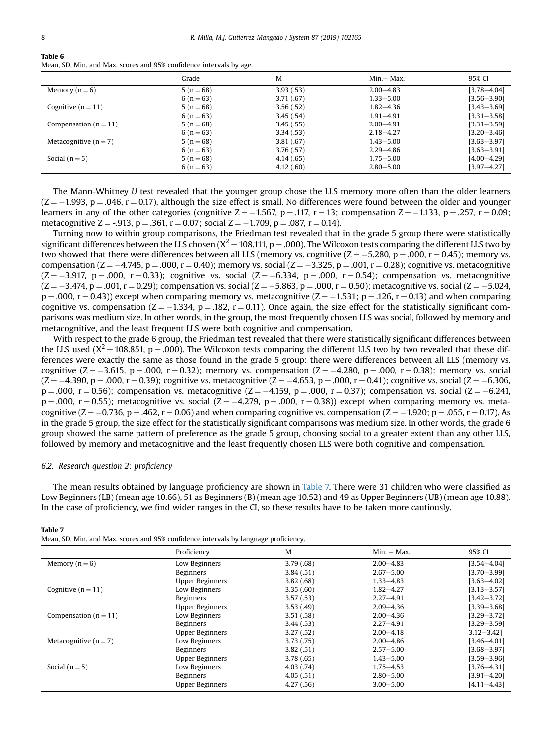#### <span id="page-7-0"></span>Table 6 Mean, SD, Min. and Max. scores and 95% confidence intervals by age.

|                         | Grade          | M         | Min.— Max.    | 95% CI          |
|-------------------------|----------------|-----------|---------------|-----------------|
| Memory $(n=6)$          | $5(n=68)$      | 3.93(.53) | $2.00 - 4.83$ | $[3.78 - 4.04]$ |
|                         | 6 ( $n = 63$ ) | 3.71(.67) | $1.33 - 5.00$ | $[3.56 - 3.90]$ |
| Cognitive $(n = 11)$    | $5(n=68)$      | 3.56(.52) | $1.82 - 4.36$ | $[3,43 - 3,69]$ |
|                         | 6 ( $n = 63$ ) | 3.45(.54) | $1.91 - 4.91$ | $[3.31 - 3.58]$ |
| Compensation $(n = 11)$ | $5(n=68)$      | 3.45(.55) | $2.00 - 4.91$ | $[3.31 - 3.59]$ |
|                         | 6 ( $n = 63$ ) | 3.34(.53) | $2.18 - 4.27$ | $[3,20-3,46]$   |
| Metacognitive $(n=7)$   | $5(n=68)$      | 3.81(.67) | $1.43 - 5.00$ | $[3.63 - 3.97]$ |
|                         | 6 ( $n = 63$ ) | 3.76(.57) | $2.29 - 4.86$ | $[3.63 - 3.91]$ |
| Social $(n=5)$          | $5(n=68)$      | 4.14(.65) | $1.75 - 5.00$ | $[4.00 - 4.29]$ |
|                         | 6 ( $n = 63$ ) | 4.12(.60) | $2.80 - 5.00$ | $[3.97 - 4.27]$ |

The Mann-Whitney U test revealed that the younger group chose the LLS memory more often than the older learners  $(Z = -1.993, p = .046, r = 0.17)$ , although the size effect is small. No differences were found between the older and younger learners in any of the other categories (cognitive  $Z = -1.567$ ,  $p = .117$ ,  $r = 13$ ; compensation  $Z = -1.133$ ,  $p = .257$ ,  $r = 0.09$ ; metacognitive Z = -.913, p = .361, r = 0.07; social Z =  $-1.709$ , p = .087, r = 0.14).

Turning now to within group comparisons, the Friedman test revealed that in the grade 5 group there were statistically significant differences between the LLS chosen  $(X^2 = 108.111, p = .000)$ . The Wilcoxon tests comparing the different LLS two by two showed that there were differences between all LLS (memory vs. cognitive ( $Z = -5.280$ ,  $p = .000$ ,  $r = 0.45$ ); memory vs. compensation (Z =  $-4.745$ , p =  $.000$ , r = 0.40); memory vs. social (Z =  $-3.325$ , p =  $.001$ , r = 0.28); cognitive vs. metacognitive  $(Z = -3.917, p = .000, r = 0.33)$ ; cognitive vs. social  $(Z = -6.334, p = .000, r = 0.54)$ ; compensation vs. metacognitive  $(Z = -3.474, p = .001, r = 0.29)$ ; compensation vs. social ( $Z = -5.863, p = .000, r = 0.50$ ); metacognitive vs. social ( $Z = -5.024, p = .000, r = 0.00$  $p = .000$ ,  $r = 0.43$ )) except when comparing memory vs. metacognitive ( $Z = -1.531$ ;  $p = .126$ ,  $r = 0.13$ ) and when comparing cognitive vs. compensation  $(Z = -1.334, p = .182, r = 0.11)$ . Once again, the size effect for the statistically significant comparisons was medium size. In other words, in the group, the most frequently chosen LLS was social, followed by memory and metacognitive, and the least frequent LLS were both cognitive and compensation.

With respect to the grade 6 group, the Friedman test revealed that there were statistically significant differences between the LLS used  $(X^2 = 108.851, p = .000)$ . The Wilcoxon tests comparing the different LLS two by two revealed that these differences were exactly the same as those found in the grade 5 group: there were differences between all LLS (memory vs. cognitive  $(Z = -3.615, p = .000, r = 0.32)$ ; memory vs. compensation  $(Z = -4.280, p = .000, r = 0.38)$ ; memory vs. social  $(Z = -4.390, p = .000, r = 0.39)$ ; cognitive vs. metacognitive ( $Z = -4.653, p = .000, r = 0.41$ ); cognitive vs. social ( $Z = -6.306, p = .000, r = 0.41$  $p = .000$ ,  $r = 0.56$ ); compensation vs. metacognitive (Z =  $-4.159$ ,  $p = .000$ ,  $r = 0.37$ ); compensation vs. social (Z =  $-6.241$  $p = .000$ ,  $r = 0.55$ ); metacognitive vs. social ( $Z = -4.279$ ,  $p = .000$ ,  $r = 0.38$ )) except when comparing memory vs. metacognitive (Z = -0.736, p = .462, r = 0.06) and when comparing cognitive vs. compensation (Z = -1.920; p = .055, r = 0.17). As in the grade 5 group, the size effect for the statistically significant comparisons was medium size. In other words, the grade 6 group showed the same pattern of preference as the grade 5 group, choosing social to a greater extent than any other LLS, followed by memory and metacognitive and the least frequently chosen LLS were both cognitive and compensation.

#### 6.2. Research question 2: proficiency

The mean results obtained by language proficiency are shown in Table 7. There were 31 children who were classified as Low Beginners (LB) (mean age 10.66), 51 as Beginners (B) (mean age 10.52) and 49 as Upper Beginners (UB) (mean age 10.88). In the case of proficiency, we find wider ranges in the CI, so these results have to be taken more cautiously.

#### Table 7

Mean, SD, Min. and Max. scores and 95% confidence intervals by language proficiency.

|                           | Proficiency            | M          | $Min. - Max.$ | 95% CI          |
|---------------------------|------------------------|------------|---------------|-----------------|
| Memory $(n=6)$            | Low Beginners          | 3.79(.68)  | $2.00 - 4.83$ | $[3.54 - 4.04]$ |
|                           | Beginners              | 3.84(.51)  | $2.67 - 5.00$ | $[3.70 - 3.99]$ |
|                           | Upper Beginners        | 3.82(.68)  | $1.33 - 4.83$ | $[3.63 - 4.02]$ |
| Cognitive $(n = 11)$      | Low Beginners          | 3.35(.60)  | $1.82 - 4.27$ | $[3.13 - 3.57]$ |
|                           | Beginners              | 3.57(.53)  | $2.27 - 4.91$ | $[3,42-3,72]$   |
|                           | Upper Beginners        | 3.53(.49)  | $2.09 - 4.36$ | $[3.39 - 3.68]$ |
| Compensation ( $n = 11$ ) | Low Beginners          | 3.51(.58)  | $2.00 - 4.36$ | $[3.29 - 3.72]$ |
|                           | Beginners              | 3.44(.53)  | $2.27 - 4.91$ | $[3.29 - 3.59]$ |
|                           | Upper Beginners        | 3.27(.52)  | $2.00 - 4.18$ | $3.12 - 3.42$   |
| Metacognitive $(n=7)$     | Low Beginners          | 3.73(0.75) | $2.00 - 4.86$ | $[3.46 - 4.01]$ |
|                           | Beginners              | 3.82(.51)  | $2.57 - 5.00$ | $[3.68 - 3.97]$ |
|                           | Upper Beginners        | 3.78(.65)  | $1.43 - 5.00$ | $[3.59 - 3.96]$ |
| Social $(n=5)$            | Low Beginners          | 4.03(0.74) | $1.75 - 4.53$ | $[3.76 - 4.31]$ |
|                           | Beginners              | 4.05(.51)  | $2.80 - 5.00$ | $[3.91 - 4.20]$ |
|                           | <b>Upper Beginners</b> | 4.27(.56)  | $3.00 - 5.00$ | $[4.11 - 4.43]$ |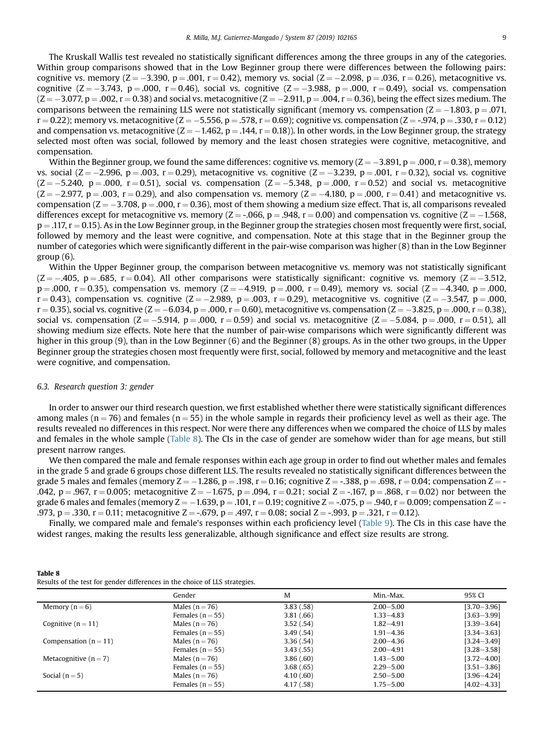The Kruskall Wallis test revealed no statistically significant differences among the three groups in any of the categories. Within group comparisons showed that in the Low Beginner group there were differences between the following pairs: cognitive vs. memory ( $Z = -3.390$ ,  $p = .001$ ,  $r = 0.42$ ), memory vs. social ( $Z = -2.098$ ,  $p = .036$ ,  $r = 0.26$ ), metacognitive vs. cognitive (Z =  $-3.743$ , p = .000, r = 0.46), social vs. cognitive (Z =  $-3.988$ , p = .000, r = 0.49), social vs. compensation  $(Z = -3.077, p = .002, r = 0.38)$  and social vs. metacognitive ( $Z = -2.911, p = .004, r = 0.36$ ), being the effect sizes medium. The comparisons between the remaining LLS were not statistically significant (memory vs. compensation  $(Z = -1.803, p = .071,$  $r = 0.22$ ); memory vs. metacognitive (Z  $= -5.556$ , p  $= .578$ , r  $= 0.69$ ); cognitive vs. compensation (Z  $=$  -.974, p  $= .330$ , r  $= 0.12$ ) and compensation vs. metacognitive (Z =  $-1.462$ , p = .144, r = 0.18)). In other words, in the Low Beginner group, the strategy selected most often was social, followed by memory and the least chosen strategies were cognitive, metacognitive, and compensation.

Within the Beginner group, we found the same differences: cognitive vs. memory ( $Z = -3.891$ ,  $p = .000$ ,  $r = 0.38$ ), memory vs. social (Z =  $-2.996$ , p =  $.003$ , r = 0.29), metacognitive vs. cognitive (Z =  $-3.239$ , p =  $.001$ , r = 0.32), social vs. cognitive  $(Z = -5.240, p = .000, r = 0.51)$ , social vs. compensation  $(Z = -5.348, p = .000, r = 0.52)$  and social vs. metacognitive  $(Z = -2.977, p = .003, r = 0.29)$ , and also compensation vs. memory  $(Z = -4.180, p = .000, r = 0.41)$  and metacognitive vs. compensation ( $Z = -3.708$ ,  $p = .000$ ,  $r = 0.36$ ), most of them showing a medium size effect. That is, all comparisons revealed differences except for metacognitive vs. memory ( $Z = -0.066$ ,  $p = .948$ ,  $r = 0.00$ ) and compensation vs. cognitive ( $Z = -1.568$ ,  $p = .117$ ,  $r = 0.15$ ). As in the Low Beginner group, in the Beginner group the strategies chosen most frequently were first, social, followed by memory and the least were cognitive, and compensation. Note at this stage that in the Beginner group the number of categories which were significantly different in the pair-wise comparison was higher (8) than in the Low Beginner group (6).

Within the Upper Beginner group, the comparison between metacognitive vs. memory was not statistically significant  $(Z = -.405, p = .685, r = 0.04)$ . All other comparisons were statistically significant: cognitive vs. memory  $(Z = -3.512,$  $p = .000$ ,  $r = 0.35$ ), compensation vs. memory ( $Z = -4.919$ ,  $p = .000$ ,  $r = 0.49$ ), memory vs. social ( $Z = -4.340$ ,  $p = .000$ ,  $r = 0.43$ ), compensation vs. cognitive (Z = -2.989, p = .003, r = 0.29), metacognitive vs. cognitive (Z = -3.547, p = .000,  $r = 0.35$ ), social vs. cognitive (Z  $= -6.034$ , p  $= .000$ ,  $r = 0.60$ ), metacognitive vs. compensation (Z  $= -3.825$ , p  $= .000$ , r  $= 0.38$ ), social vs. compensation ( $Z = -5.914$ ,  $p = .000$ ,  $r = 0.59$ ) and social vs. metacognitive ( $Z = -5.084$ ,  $p = .000$ ,  $r = 0.51$ ), all showing medium size effects. Note here that the number of pair-wise comparisons which were significantly different was higher in this group (9), than in the Low Beginner (6) and the Beginner (8) groups. As in the other two groups, in the Upper Beginner group the strategies chosen most frequently were first, social, followed by memory and metacognitive and the least were cognitive, and compensation.

# 6.3. Research question 3: gender

In order to answer our third research question, we first established whether there were statistically significant differences among males ( $n = 76$ ) and females ( $n = 55$ ) in the whole sample in regards their proficiency level as well as their age. The results revealed no differences in this respect. Nor were there any differences when we compared the choice of LLS by males and females in the whole sample (Table 8). The CIs in the case of gender are somehow wider than for age means, but still present narrow ranges.

We then compared the male and female responses within each age group in order to find out whether males and females in the grade 5 and grade 6 groups chose different LLS. The results revealed no statistically significant differences between the grade 5 males and females (memory  $Z = -1.286$ , p  $= .198$ , r  $= 0.16$ ; cognitive  $Z = -.388$ , p  $= .698$ , r  $= 0.04$ ; compensation  $Z = -1.286$ .042,  $p = .967$ ,  $r = 0.005$ ; metacognitive  $Z = -1.675$ ,  $p = .094$ ,  $r = 0.21$ ; social  $Z = -.167$ ,  $p = .868$ ,  $r = 0.02$ ) nor between the grade 6 males and females (memory  $Z = -1.639$ ,  $p = .101$ ,  $r = 0.19$ ; cognitive  $Z = -.075$ ,  $p = .940$ ,  $r = 0.009$ ; compensation  $Z = -$ .973, p = .330, r = 0.11; metacognitive Z = -.679, p = .497, r = 0.08; social Z = -.993, p = .321, r = 0.12).

Finally, we compared male and female's responses within each proficiency level ([Table 9](#page-9-0)). The CIs in this case have the widest ranges, making the results less generalizable, although significance and effect size results are strong.

| Table 8                                                                     |  |  |
|-----------------------------------------------------------------------------|--|--|
| Results of the test for gender differences in the choice of LLS strategies. |  |  |

|                           | Gender               | M         | Min.-Max.     | 95% CI          |
|---------------------------|----------------------|-----------|---------------|-----------------|
| Memory $(n=6)$            | Males $(n = 76)$     | 3.83(.58) | $2.00 - 5.00$ | $[3.70 - 3.96]$ |
|                           | Females ( $n = 55$ ) | 3.81(.66) | $1.33 - 4.83$ | $[3.63 - 3.99]$ |
| Cognitive $(n = 11)$      | Males $(n = 76)$     | 3.52(.54) | $1.82 - 4.91$ | $[3.39 - 3.64]$ |
|                           | Females $(n = 55)$   | 3.49(.54) | $1.91 - 4.36$ | $[3.34 - 3.63]$ |
| Compensation ( $n = 11$ ) | Males $(n = 76)$     | 3.36(.54) | $2.00 - 4.36$ | $[3.24 - 3.49]$ |
|                           | Females ( $n = 55$ ) | 3.43(.55) | $2.00 - 4.91$ | $[3.28 - 3.58]$ |
| Metacognitive $(n = 7)$   | Males $(n = 76)$     | 3.86(.60) | $1.43 - 5.00$ | $[3.72 - 4.00]$ |
|                           | Females ( $n = 55$ ) | 3.68(.65) | $2.29 - 5.00$ | $[3.51 - 3.86]$ |
| Social $(n=5)$            | Males $(n = 76)$     | 4.10(.60) | $2.50 - 5.00$ | $[3.96 - 4.24]$ |
|                           | Females ( $n = 55$ ) | 4.17(.58) | $1.75 - 5.00$ | $[4.02 - 4.33]$ |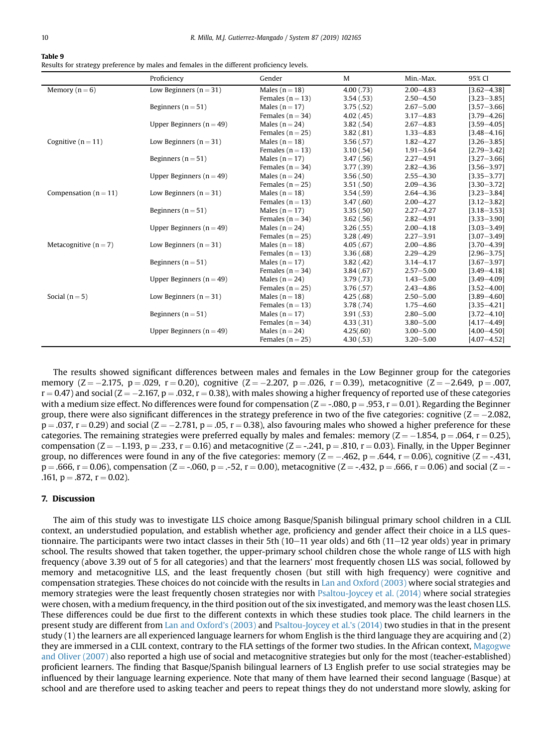#### <span id="page-9-0"></span>Table 9

Results for strategy preference by males and females in the different proficiency levels.

|                           | Proficiency                  | Gender             | M          | Min.-Max.     | 95% CI          |
|---------------------------|------------------------------|--------------------|------------|---------------|-----------------|
| Memory $(n=6)$            | Low Beginners $(n = 31)$     | Males $(n = 18)$   | 4.00(0.73) | $2.00 - 4.83$ | $[3.62 - 4.38]$ |
|                           |                              | Females $(n = 13)$ | 3.54(0.53) | $2.50 - 4.50$ | $[3.23 - 3.85]$ |
|                           | Beginners ( $n = 51$ )       | Males $(n = 17)$   | 3.75(.52)  | $2.67 - 5.00$ | $[3.57 - 3.66]$ |
|                           |                              | Females $(n = 34)$ | 4.02(.45)  | $3.17 - 4.83$ | $[3.79 - 4.26]$ |
|                           | Upper Beginners ( $n = 49$ ) | Males $(n = 24)$   | 3.82(.54)  | $2.67 - 4.83$ | $[3.59 - 4.05]$ |
|                           |                              | Females $(n = 25)$ | 3.82(.81)  | $1.33 - 4.83$ | $[3.48 - 4.16]$ |
| Cognitive ( $n = 11$ )    | Low Beginners ( $n = 31$ )   | Males $(n = 18)$   | 3.56(.57)  | $1.82 - 4.27$ | $[3.26 - 3.85]$ |
|                           |                              | Females $(n = 13)$ | 3.10(.54)  | $1.91 - 3.64$ | $[2.79 - 3.42]$ |
|                           | Beginners ( $n = 51$ )       | Males $(n = 17)$   | 3.47(.56)  | $2.27 - 4.91$ | $[3.27 - 3.66]$ |
|                           |                              | Females $(n = 34)$ | 3.77(0.39) | $2.82 - 4.36$ | $[3.56 - 3.97]$ |
|                           | Upper Beginners ( $n = 49$ ) | Males $(n = 24)$   | 3.56(.50)  | $2.55 - 4.30$ | $[3.35 - 3.77]$ |
|                           |                              | Females $(n = 25)$ | 3.51(.50)  | $2.09 - 4.36$ | $[3.30 - 3.72]$ |
| Compensation ( $n = 11$ ) | Low Beginners ( $n = 31$ )   | Males $(n = 18)$   | 3.54(.59)  | $2.64 - 4.36$ | $[3.23 - 3.84]$ |
|                           |                              | Females $(n = 13)$ | 3.47(.60)  | $2.00 - 4.27$ | $[3.12 - 3.82]$ |
|                           | Beginners ( $n = 51$ )       | Males $(n = 17)$   | 3.35(.50)  | $2.27 - 4.27$ | $[3.18 - 3.53]$ |
|                           |                              | Females $(n = 34)$ | 3.62(.56)  | $2.82 - 4.91$ | $[3.33 - 3.90]$ |
|                           | Upper Beginners ( $n = 49$ ) | Males $(n = 24)$   | 3.26(.55)  | $2.00 - 4.18$ | $[3.03 - 3.49]$ |
|                           |                              | Females $(n = 25)$ | 3.28(.49)  | $2.27 - 3.91$ | $[3.07 - 3.49]$ |
| Metacognitive $(n = 7)$   | Low Beginners ( $n = 31$ )   | Males $(n = 18)$   | 4.05(.67)  | $2.00 - 4.86$ | $[3.70 - 4.39]$ |
|                           |                              | Females $(n = 13)$ | 3.36(.68)  | $2.29 - 4.29$ | $[2.96 - 3.75]$ |
|                           | Beginners ( $n = 51$ )       | Males $(n = 17)$   | 3.82(.42)  | $3.14 - 4.17$ | $[3.67 - 3.97]$ |
|                           |                              | Females $(n = 34)$ | 3.84(.67)  | $2.57 - 5.00$ | $[3.49 - 4.18]$ |
|                           | Upper Beginners ( $n = 49$ ) | Males $(n = 24)$   | 3.79(0.73) | $1.43 - 5.00$ | $[3.49 - 4.09]$ |
|                           |                              | Females $(n = 25)$ | 3.76(.57)  | $2.43 - 4.86$ | $[3.52 - 4.00]$ |
| Social $(n=5)$            | Low Beginners ( $n = 31$ )   | Males $(n = 18)$   | 4.25(.68)  | $2.50 - 5.00$ | $[3.89 - 4.60]$ |
|                           |                              | Females $(n = 13)$ | 3.78(.74)  | $1.75 - 4.60$ | $[3.35 - 4.21]$ |
|                           | Beginners ( $n = 51$ )       | Males $(n = 17)$   | 3.91(.53)  | $2.80 - 5.00$ | $[3.72 - 4.10]$ |
|                           |                              | Females $(n = 34)$ | 4.33(.31)  | $3.80 - 5.00$ | $[4.17 - 4.49]$ |
|                           | Upper Beginners ( $n = 49$ ) | Males $(n = 24)$   | 4.25(.60)  | $3.00 - 5.00$ | $[4.00 - 4.50]$ |
|                           |                              | Females $(n = 25)$ | 4.30(.53)  | $3.20 - 5.00$ | $[4.07 - 4.52]$ |

The results showed significant differences between males and females in the Low Beginner group for the categories memory (Z =  $-2.175$ , p =  $.029$ , r = 0.20), cognitive (Z =  $-2.207$ , p =  $.026$ , r = 0.39), metacognitive (Z =  $-2.649$ , p =  $.007$  $r$  = 0.47) and social (Z =  $-2.167$ , p  $=$  .032, r  $=$  0.38), with males showing a higher frequency of reported use of these categories with a medium size effect. No differences were found for compensation ( $Z = -0.08$ ,  $p = .953$ ,  $r = 0.01$ ). Regarding the Beginner group, there were also significant differences in the strategy preference in two of the five categories: cognitive  $(Z = -2.082,$  $p = .037$ ,  $r = 0.29$ ) and social ( $Z = -2.781$ ,  $p = .05$ ,  $r = 0.38$ ), also favouring males who showed a higher preference for these categories. The remaining strategies were preferred equally by males and females: memory ( $Z = -1.854$ ,  $p = .064$ ,  $r = 0.25$ ), compensation (Z =  $-1.193$ , p = .233, r = 0.16) and metacognitive (Z = -.241, p = .810, r = 0.03). Finally, in the Upper Beginner group, no differences were found in any of the five categories: memory ( $Z = -.462$ ,  $p = .644$ ,  $r = 0.06$ ), cognitive ( $Z = -.431$ ,  $p = .666$ ,  $r = 0.06$ ), compensation (Z = -.060, p = .-52, r = 0.00), metacognitive (Z = -.432, p = .666, r = 0.06) and social (Z = -.161,  $p = .872$ ,  $r = 0.02$ ).

### 7. Discussion

The aim of this study was to investigate LLS choice among Basque/Spanish bilingual primary school children in a CLIL context, an understudied population, and establish whether age, proficiency and gender affect their choice in a LLS questionnaire. The participants were two intact classes in their 5th  $(10-11$  year olds) and 6th  $(11-12$  year olds) year in primary school. The results showed that taken together, the upper-primary school children chose the whole range of LLS with high frequency (above 3.39 out of 5 for all categories) and that the learners' most frequently chosen LLS was social, followed by memory and metacognitive LLS, and the least frequently chosen (but still with high frequency) were cognitive and compensation strategies. These choices do not coincide with the results in [Lan and Oxford \(2003\)](#page-12-0) where social strategies and memory strategies were the least frequently chosen strategies nor with [Psaltou-Joycey et al. \(2014\)](#page-12-0) where social strategies were chosen, with a medium frequency, in the third position out of the six investigated, and memory was the least chosen LLS. These differences could be due first to the different contexts in which these studies took place. The child learners in the present study are different from [Lan and Oxford's \(2003\)](#page-12-0) and [Psaltou-Joycey et al.](#page-12-0)'s (2014) two studies in that in the present study (1) the learners are all experienced language learners for whom English is the third language they are acquiring and (2) they are immersed in a CLIL context, contrary to the FLA settings of the former two studies. In the African context, [Magogwe](#page-12-0) [and Oliver \(2007\)](#page-12-0) also reported a high use of social and metacognitive strategies but only for the most (teacher-established) proficient learners. The finding that Basque/Spanish bilingual learners of L3 English prefer to use social strategies may be influenced by their language learning experience. Note that many of them have learned their second language (Basque) at school and are therefore used to asking teacher and peers to repeat things they do not understand more slowly, asking for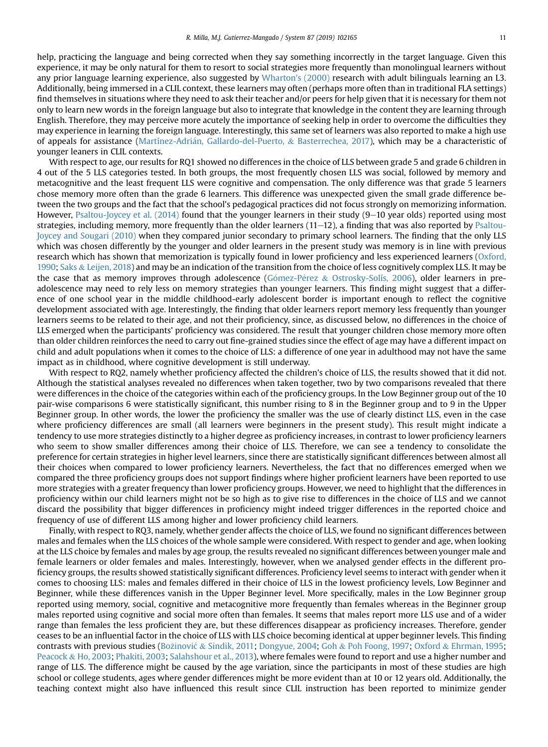help, practicing the language and being corrected when they say something incorrectly in the target language. Given this experience, it may be only natural for them to resort to social strategies more frequently than monolingual learners without any prior language learning experience, also suggested by [Wharton's \(2000\)](#page-12-0) research with adult bilinguals learning an L3. Additionally, being immersed in a CLIL context, these learners may often (perhaps more often than in traditional FLA settings) find themselves in situations where they need to ask their teacher and/or peers for help given that it is necessary for them not only to learn new words in the foreign language but also to integrate that knowledge in the content they are learning through English. Therefore, they may perceive more acutely the importance of seeking help in order to overcome the difficulties they may experience in learning the foreign language. Interestingly, this same set of learners was also reported to make a high use of appeals for assistance ([Martínez-Adri](#page-12-0)án, Gallardo-del-Puerto, & [Basterrechea, 2017](#page-12-0)), which may be a characteristic of younger leaners in CLIL contexts.

With respect to age, our results for RQ1 showed no differences in the choice of LLS between grade 5 and grade 6 children in 4 out of the 5 LLS categories tested. In both groups, the most frequently chosen LLS was social, followed by memory and metacognitive and the least frequent LLS were cognitive and compensation. The only difference was that grade 5 learners chose memory more often than the grade 6 learners. This difference was unexpected given the small grade difference between the two groups and the fact that the school's pedagogical practices did not focus strongly on memorizing information. However, Psaltou-Joycey et al.  $(2014)$  found that the younger learners in their study  $(9-10$  year olds) reported using most strategies, including memory, more frequently than the older learners  $(11-12)$ , a finding that was also reported by [Psaltou-](#page-12-0)[Joycey and Sougari \(2010\)](#page-12-0) when they compared junior secondary to primary school learners. The finding that the only LLS which was chosen differently by the younger and older learners in the present study was memory is in line with previous research which has shown that memorization is typically found in lower proficiency and less experienced learners [\(Oxford,](#page-12-0) [1990](#page-12-0); [Saks](#page-12-0) & [Leijen, 2018](#page-12-0)) and may be an indication of the transition from the choice of less cognitively complex LLS. It may be the case that as memory improves through adolescence (Gómez-Pérez & [Ostrosky-Solís, 2006](#page-11-0)), older learners in preadolescence may need to rely less on memory strategies than younger learners. This finding might suggest that a difference of one school year in the middle childhood-early adolescent border is important enough to reflect the cognitive development associated with age. Interestingly, the finding that older learners report memory less frequently than younger learners seems to be related to their age, and not their proficiency, since, as discussed below, no differences in the choice of LLS emerged when the participants' proficiency was considered. The result that younger children chose memory more often than older children reinforces the need to carry out fine-grained studies since the effect of age may have a different impact on child and adult populations when it comes to the choice of LLS: a difference of one year in adulthood may not have the same impact as in childhood, where cognitive development is still underway.

With respect to RQ2, namely whether proficiency affected the children's choice of LLS, the results showed that it did not. Although the statistical analyses revealed no differences when taken together, two by two comparisons revealed that there were differences in the choice of the categories within each of the proficiency groups. In the Low Beginner group out of the 10 pair-wise comparisons 6 were statistically significant, this number rising to 8 in the Beginner group and to 9 in the Upper Beginner group. In other words, the lower the proficiency the smaller was the use of clearly distinct LLS, even in the case where proficiency differences are small (all learners were beginners in the present study). This result might indicate a tendency to use more strategies distinctly to a higher degree as proficiency increases, in contrast to lower proficiency learners who seem to show smaller differences among their choice of LLS. Therefore, we can see a tendency to consolidate the preference for certain strategies in higher level learners, since there are statistically significant differences between almost all their choices when compared to lower proficiency learners. Nevertheless, the fact that no differences emerged when we compared the three proficiency groups does not support findings where higher proficient learners have been reported to use more strategies with a greater frequency than lower proficiency groups. However, we need to highlight that the differences in proficiency within our child learners might not be so high as to give rise to differences in the choice of LLS and we cannot discard the possibility that bigger differences in proficiency might indeed trigger differences in the reported choice and frequency of use of different LLS among higher and lower proficiency child learners.

Finally, with respect to RQ3, namely, whether gender affects the choice of LLS, we found no significant differences between males and females when the LLS choices of the whole sample were considered. With respect to gender and age, when looking at the LLS choice by females and males by age group, the results revealed no significant differences between younger male and female learners or older females and males. Interestingly, however, when we analysed gender effects in the different proficiency groups, the results showed statistically significant differences. Proficiency level seems to interact with gender when it comes to choosing LLS: males and females differed in their choice of LLS in the lowest proficiency levels, Low Beginner and Beginner, while these differences vanish in the Upper Beginner level. More specifically, males in the Low Beginner group reported using memory, social, cognitive and metacognitive more frequently than females whereas in the Beginner group males reported using cognitive and social more often than females. It seems that males report more LLS use and of a wider range than females the less proficient they are, but these differences disappear as proficiency increases. Therefore, gender ceases to be an influential factor in the choice of LLS with LLS choice becoming identical at upper beginner levels. This finding contrasts with previous studies ([Bo](#page-11-0)[zinovi](#page-11-0)c & [Sindik, 2011;](#page-11-0) [Dongyue, 2004;](#page-11-0) [Goh](#page-11-0) & [Poh Foong, 1997;](#page-11-0) [Oxford](#page-12-0) & [Ehrman, 1995](#page-12-0); [Peacock](#page-12-0) & [Ho, 2003;](#page-12-0) [Phakiti, 2003](#page-12-0); [Salahshour et al., 2013\)](#page-12-0), where females were found to report and use a higher number and range of LLS. The difference might be caused by the age variation, since the participants in most of these studies are high school or college students, ages where gender differences might be more evident than at 10 or 12 years old. Additionally, the teaching context might also have influenced this result since CLIL instruction has been reported to minimize gender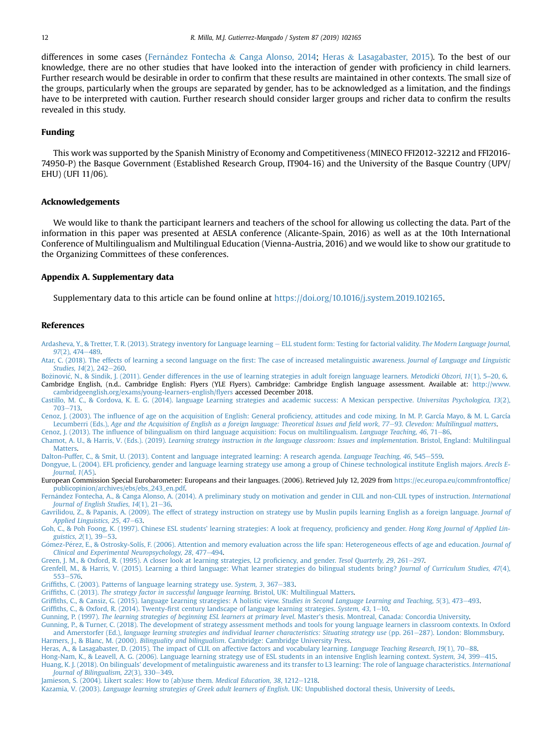<span id="page-11-0"></span>differences in some cases (Fernández Fontecha & Canga Alonso, 2014; Heras & Lasagabaster, 2015). To the best of our knowledge, there are no other studies that have looked into the interaction of gender with proficiency in child learners. Further research would be desirable in order to confirm that these results are maintained in other contexts. The small size of the groups, particularly when the groups are separated by gender, has to be acknowledged as a limitation, and the findings have to be interpreted with caution. Further research should consider larger groups and richer data to confirm the results revealed in this study.

#### Funding

This work was supported by the Spanish Ministry of Economy and Competitiveness (MINECO FFI2012-32212 and FFI2016- 74950-P) the Basque Government (Established Research Group, IT904-16) and the University of the Basque Country (UPV/ EHU) (UFI 11/06).

#### Acknowledgements

We would like to thank the participant learners and teachers of the school for allowing us collecting the data. Part of the information in this paper was presented at AESLA conference (Alicante-Spain, 2016) as well as at the 10th International Conference of Multilingualism and Multilingual Education (Vienna-Austria, 2016) and we would like to show our gratitude to the Organizing Committees of these conferences.

#### Appendix A. Supplementary data

Supplementary data to this article can be found online at <https://doi.org/10.1016/j.system.2019.102165>.

#### References

[Ardasheva, Y., & Tretter, T. R. \(2013\). Strategy inventory for Language learning](http://refhub.elsevier.com/S0346-251X(19)30286-6/sref1) - [ELL student form: Testing for factorial validity.](http://refhub.elsevier.com/S0346-251X(19)30286-6/sref1) The Modern Language Journal,  $97(2)$ ,  $474-489$ .

[Atar, C. \(2018\). The effects of learning a second language on the](http://refhub.elsevier.com/S0346-251X(19)30286-6/sref2) first: The case of increased metalinguistic awareness. Journal of Language and Linguistic [Studies, 14](http://refhub.elsevier.com/S0346-251X(19)30286-6/sref2)(2), 242-[260.](http://refhub.elsevier.com/S0346-251X(19)30286-6/sref2)

[Bo](http://refhub.elsevier.com/S0346-251X(19)30286-6/sref3)žinović, N., & Sindik, J. (2011). Gender differences in the use of learning strategies in adult foreign language learners. Metodicki Obzori, 11(1), 5–20, 6. Cambridge English, (n.d.. Cambridge English: Flyers (YLE Flyers). Cambridge: Cambridge English language assessment. Available at: [http://www.](http://www.cambridgeenglish.org/exams/young-learners-english/flyers) [cambridgeenglish.org/exams/young-learners-english/](http://www.cambridgeenglish.org/exams/young-learners-english/flyers)flyers accessed December 2018.

[Castillo, M. C., & Cordova, K. E. G. \(2014\). language Learning strategies and academic success: A Mexican perspective.](http://refhub.elsevier.com/S0346-251X(19)30286-6/sref5) Universitas Psychologica, 13(2), [703](http://refhub.elsevier.com/S0346-251X(19)30286-6/sref5)-[713.](http://refhub.elsevier.com/S0346-251X(19)30286-6/sref5)

Cenoz, J. (2003). The influence of age on the acquisition of English: General profi[ciency, attitudes and code mixing. In M. P. García Mayo, & M. L. García](http://refhub.elsevier.com/S0346-251X(19)30286-6/sref6) Lecumberri (Eds.), [Age and the Acquisition of English as a foreign language: Theoretical Issues and](http://refhub.elsevier.com/S0346-251X(19)30286-6/sref6) field work, 77-[93. Clevedon: Multilingual matters](http://refhub.elsevier.com/S0346-251X(19)30286-6/sref6).

Cenoz, J. (2013). The infl[uence of bilingualism on third language acquisition: Focus on multilingualism.](http://refhub.elsevier.com/S0346-251X(19)30286-6/sref7) Language Teaching, 46, 71–[86](http://refhub.elsevier.com/S0346-251X(19)30286-6/sref7).

Chamot, A. U., & Harris, V. (Eds.). (2019). [Learning strategy instruction in the language classroom: Issues and implementation](http://refhub.elsevier.com/S0346-251X(19)30286-6/sref8). Bristol, England: Multilingual **[Matters](http://refhub.elsevier.com/S0346-251X(19)30286-6/sref8)** 

[Dalton-Puffer, C., & Smit, U. \(2013\). Content and language integrated learning: A research agenda.](http://refhub.elsevier.com/S0346-251X(19)30286-6/sref9) Language Teaching, 46, 545-[559.](http://refhub.elsevier.com/S0346-251X(19)30286-6/sref9)

Dongyue, L. (2004). EFL profi[ciency, gender and language learning strategy use among a group of Chinese technological institute English majors.](http://refhub.elsevier.com/S0346-251X(19)30286-6/sref10) Arecls E-[Journal, 1](http://refhub.elsevier.com/S0346-251X(19)30286-6/sref10)(A5).

European Commission Special Eurobarometer: Europeans and their languages. (2006). Retrieved July 12, 2029 from [https://ec.europa.eu/commfrontof](https://ec.europa.eu/commfrontoffice/publicopinion/archives/ebs/ebs_243_en.pdf)fice/ [publicopinion/archives/ebs/ebs\\_243\\_en.pdf.](https://ec.europa.eu/commfrontoffice/publicopinion/archives/ebs/ebs_243_en.pdf)

[Fern](http://refhub.elsevier.com/S0346-251X(19)30286-6/sref13)á[ndez Fontecha, A., & Canga Alonso, A. \(2014\). A preliminary study on motivation and gender in CLIL and non-CLIL types of instruction.](http://refhub.elsevier.com/S0346-251X(19)30286-6/sref13) International Journal of English Studies,  $14(1)$ ,  $21-36$ .

[Gavrilidou, Z., & Papanis, A. \(2009\). The effect of strategy instruction on strategy use by Muslin pupils learning English as a foreign language.](http://refhub.elsevier.com/S0346-251X(19)30286-6/sref76) Journal of [Applied Linguistics, 25](http://refhub.elsevier.com/S0346-251X(19)30286-6/sref76), 47-[63.](http://refhub.elsevier.com/S0346-251X(19)30286-6/sref76)

[Goh, C., & Poh Foong, K. \(1997\). Chinese ESL students' learning strategies: A look at frequency, pro](http://refhub.elsevier.com/S0346-251X(19)30286-6/sref14)ficiency and gender. Hong Kong Journal of Applied Lin[guistics, 2](http://refhub.elsevier.com/S0346-251X(19)30286-6/sref14)(1), 39-[53](http://refhub.elsevier.com/S0346-251X(19)30286-6/sref14).

Gómez-Pérez, E., & Ostrosky-Solís, F. (2006). Attention and memory evaluation across the life span: Heterogeneous effects of age and education. Journal of [Clinical and Experimental Neuropsychology, 28](http://refhub.elsevier.com/S0346-251X(19)30286-6/sref15), 477-[494](http://refhub.elsevier.com/S0346-251X(19)30286-6/sref15).

[Green, J. M., & Oxford, R. \(1995\). A closer look at learning strategies, L2 pro](http://refhub.elsevier.com/S0346-251X(19)30286-6/sref16)ficiency, and gender. Tesol Quarterly, 29, 261-[297.](http://refhub.elsevier.com/S0346-251X(19)30286-6/sref16)

[Grenfell, M., & Harris, V. \(2015\). Learning a third language: What learner strategies do bilingual students bring?](http://refhub.elsevier.com/S0346-251X(19)30286-6/sref17) Journal of Curriculum Studies, 47(4), [553](http://refhub.elsevier.com/S0346-251X(19)30286-6/sref17)-[576](http://refhub.elsevier.com/S0346-251X(19)30286-6/sref17)

Griffi[ths, C. \(2003\). Patterns of language learning strategy use.](http://refhub.elsevier.com/S0346-251X(19)30286-6/sref18) System, 3, 367-[383.](http://refhub.elsevier.com/S0346-251X(19)30286-6/sref18)

Griffiths, C. (2013). [The strategy factor in successful language learning](http://refhub.elsevier.com/S0346-251X(19)30286-6/sref19). Bristol, UK: Multilingual Matters.

Griffi[ths, C., & Cansiz, G. \(2015\). language Learning strategies: A holistic view.](http://refhub.elsevier.com/S0346-251X(19)30286-6/sref20) Studies in Second Language Learning and Teaching, 5(3), 473-[493.](http://refhub.elsevier.com/S0346-251X(19)30286-6/sref20)

Griffiths, C., & Oxford, R. (2014). Twenty-fi[rst century landscape of language learning strategies.](http://refhub.elsevier.com/S0346-251X(19)30286-6/sref21) System, 43, 1–[10.](http://refhub.elsevier.com/S0346-251X(19)30286-6/sref21)

Gunning, P. (1997). [The learning strategies of beginning ESL learners at primary level](http://refhub.elsevier.com/S0346-251X(19)30286-6/sref77). Master's thesis. Montreal, Canada: Concordia University.

[Gunning, P., & Turner, C. \(2018\). The development of strategy assessment methods and tools for young language learners in classroom contexts. In Oxford](http://refhub.elsevier.com/S0346-251X(19)30286-6/sref22) and Amerstorfer (Ed.), [language learning strategies and individual learner characteristics: Situating strategy use](http://refhub.elsevier.com/S0346-251X(19)30286-6/sref22) (pp. 261-[287\). London: Blommsbury.](http://refhub.elsevier.com/S0346-251X(19)30286-6/sref22) Harmers, J., & Blanc, M. (2000). Bilinguality and bilingualism[. Cambridge: Cambridge University Press.](http://refhub.elsevier.com/S0346-251X(19)30286-6/sref23)

[Heras, A., & Lasagabaster, D. \(2015\). The impact of CLIL on affective factors and vocabulary learning.](http://refhub.elsevier.com/S0346-251X(19)30286-6/sref24) Language Teaching Research, 19(1), 70–[88](http://refhub.elsevier.com/S0346-251X(19)30286-6/sref24).

[Hong-Nam, K., & Leavell, A. G. \(2006\). Language learning strategy use of ESL students in an intensive English learning context.](http://refhub.elsevier.com/S0346-251X(19)30286-6/sref25) System, 34, 399-[415.](http://refhub.elsevier.com/S0346-251X(19)30286-6/sref25)

[Huang, K. J. \(2018\). On bilinguals' development of metalinguistic awareness and its transfer to L3 learning: The role of language characteristics.](http://refhub.elsevier.com/S0346-251X(19)30286-6/sref26) International Journal of Bilingualism,  $22(3)$ , 330-[349.](http://refhub.elsevier.com/S0346-251X(19)30286-6/sref26)

[Jamieson, S. \(2004\). Likert scales: How to \(ab\)use them.](http://refhub.elsevier.com/S0346-251X(19)30286-6/sref27) Medical Education, 38, 1212-[1218.](http://refhub.elsevier.com/S0346-251X(19)30286-6/sref27)

Kazamia, V. (2003). [Language learning strategies of Greek adult learners of English](http://refhub.elsevier.com/S0346-251X(19)30286-6/sref28). UK: Unpublished doctoral thesis, University of Leeds.